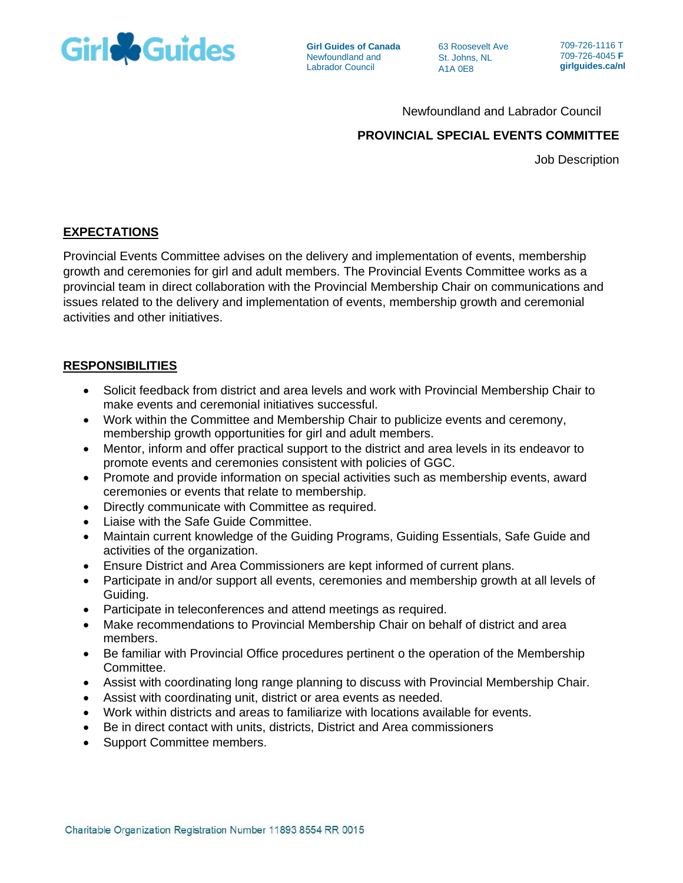

**Girl Guides of Canada** Newfoundland and Labrador Council

63 Roosevelt Ave St. Johns, NL A1A 0E8

709-726-1116 T 709-726-4045 **F girlguides.ca/nl**

Newfoundland and Labrador Council

# **PROVINCIAL SPECIAL EVENTS COMMITTEE**

Job Description

# **EXPECTATIONS**

Provincial Events Committee advises on the delivery and implementation of events, membership growth and ceremonies for girl and adult members. The Provincial Events Committee works as a provincial team in direct collaboration with the Provincial Membership Chair on communications and issues related to the delivery and implementation of events, membership growth and ceremonial activities and other initiatives.

## **RESPONSIBILITIES**

- Solicit feedback from district and area levels and work with Provincial Membership Chair to make events and ceremonial initiatives successful.
- Work within the Committee and Membership Chair to publicize events and ceremony, membership growth opportunities for girl and adult members.
- Mentor, inform and offer practical support to the district and area levels in its endeavor to promote events and ceremonies consistent with policies of GGC.
- Promote and provide information on special activities such as membership events, award ceremonies or events that relate to membership.
- Directly communicate with Committee as required.
- Liaise with the Safe Guide Committee.
- Maintain current knowledge of the Guiding Programs, Guiding Essentials, Safe Guide and activities of the organization.
- Ensure District and Area Commissioners are kept informed of current plans.
- Participate in and/or support all events, ceremonies and membership growth at all levels of Guiding.
- Participate in teleconferences and attend meetings as required.
- Make recommendations to Provincial Membership Chair on behalf of district and area members.
- Be familiar with Provincial Office procedures pertinent o the operation of the Membership Committee.
- Assist with coordinating long range planning to discuss with Provincial Membership Chair.
- Assist with coordinating unit, district or area events as needed.
- Work within districts and areas to familiarize with locations available for events.
- Be in direct contact with units, districts, District and Area commissioners
- Support Committee members.